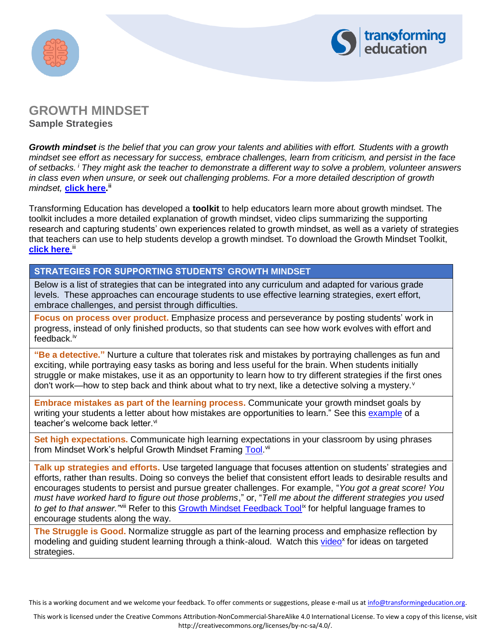



# **GROWTH MINDSET**

**Sample Strategies**

*Growth mindset is the belief that you can grow your talents and abilities with effort. Students with a growth mindset see effort as necessary for success, embrace challenges, learn from criticism, and persist in the face of setbacks. <sup>i</sup> They might ask the teacher to demonstrate a different way to solve a problem, volunteer answers in class even when unsure, or seek out challenging problems. For a more detailed description of growth mindset,* **[click here.](https://drive.google.com/file/d/0B4mmLl65JEq1dzdVUy16UEIya1k/view?usp=sharing) ii**

Transforming Education has developed a **toolkit** to help educators learn more about growth mindset. The toolkit includes a more detailed explanation of growth mindset, video clips summarizing the supporting research and capturing students' own experiences related to growth mindset, as well as a variety of strategies that teachers can use to help students develop a growth mindset. To download the Growth Mindset Toolkit, **<u>[click here](http://transformingeducation.org/growth-mindset-toolkit/).</u>""** 

#### **STRATEGIES FOR SUPPORTING STUDENTS' GROWTH MINDSET**

Below is a list of strategies that can be integrated into any curriculum and adapted for various grade levels. These approaches can encourage students to use effective learning strategies, exert effort, embrace challenges, and persist through difficulties.

**Focus on process over product.** Emphasize process and perseverance by posting students' work in progress, instead of only finished products, so that students can see how work evolves with effort and feedback.<sup>iv</sup>

**"Be a detective."** Nurture a culture that tolerates risk and mistakes by portraying challenges as fun and exciting, while portraying easy tasks as boring and less useful for the brain. When students initially struggle or make mistakes, use it as an opportunity to learn how to try different strategies if the first ones don't work—how to step back and think about what to try next, like a detective solving a mystery.<sup>v</sup>

**Embrace mistakes as part of the learning process.** Communicate your growth mindset goals by writing your students a letter about how mistakes are opportunities to learn." See this [example](https://s3-us-west-1.amazonaws.com/mindset-net-site/FileCenter/GW2N4ZKB5A81MCQMDPCQ.pdf) of a teacher's welcome back letter.<sup>vi</sup>

**Set high expectations.** Communicate high learning expectations in your classroom by using phrases from Mindset Work's helpful Growth Mindset Framing [Tool.](https://www.mindsetworks.com/websitemedia/resources/growth-mindset-framing-tool.pdf)<sup>vii</sup>

**Talk up strategies and efforts.** Use targeted language that focuses attention on students' strategies and efforts, rather than results. Doing so conveys the belief that consistent effort leads to desirable results and encourages students to persist and pursue greater challenges. For example, "*You got a great score! You must have worked hard to figure out those problems*," or, "*Tell me about the different strategies you used*  to get to that answer.<sup>"viii</sup> Refer to this [Growth Mindset Feedback Tool](https://www.mindsetworks.com/websitemedia/resources/growth-mindset-feedback-tool.pdf)<sup>ix</sup> for helpful language frames to encourage students along the way.

**The Struggle is Good.** Normalize struggle as part of the learning process and emphasize reflection by modeling and guiding student learning through a think-aloud. Watch this [video](https://www.teachingchannel.org/videos/persist-through-challenges-perts)<sup>x</sup> for ideas on targeted strategies.

This is a working document and we welcome your feedback. To offer comments or suggestions, please e-mail us at [info@transformingeducation.org.](mailto:info@transformingeducation.org)

This work is licensed under the Creative Commons Attribution-NonCommercial-ShareAlike 4.0 International License. To view a copy of this license, visit http://creativecommons.org/licenses/by-nc-sa/4.0/.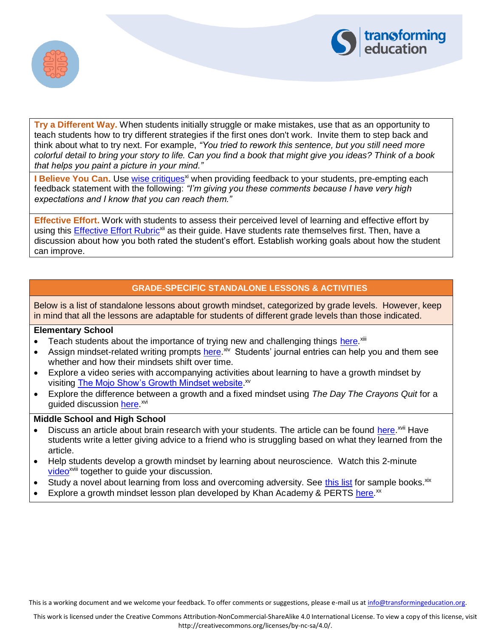



**Try a Different Way.** When students initially struggle or make mistakes, use that as an opportunity to teach students how to try different strategies if the first ones don't work. Invite them to step back and think about what to try next. For example, *"You tried to rework this sentence, but you still need more colorful detail to bring your story to life. Can you find a book that might give you ideas? Think of a book that helps you paint a picture in your mind."*

**I Believe You Can.** Use [wise critiques](https://sparq.stanford.edu/solutions/wise-critiques-help-students-succeed)<sup>xi</sup> when providing feedback to your students, pre-empting each feedback statement with the following: *"I'm giving you these comments because I have very high expectations and I know that you can reach them."*

**Effective Effort.** Work with students to assess their perceived level of learning and effective effort by using this [Effective Effort Rubric](https://www.mindsetworks.com/websitemedia/resources/effort-rubric-for-students.pdf)<sup>xii</sup> as their guide. Have students rate themselves first. Then, have a discussion about how you both rated the student's effort. Establish working goals about how the student can improve.

### **GRADE-SPECIFIC STANDALONE LESSONS & ACTIVITIES**

Below is a list of standalone lessons about growth mindset, categorized by grade levels. However, keep in mind that all the lessons are adaptable for students of different grade levels than those indicated.

#### **Elementary School**

- Teach students about the importance of trying new and challenging things [here.](https://www.mindsetkit.org/practices/ckjOuOKvRDdmsDTJ)<sup>xiii</sup>
- Assign mindset-related writing prompts [here.](https://www.mindsetkit.org/practices/VBCIHXxpJjmPQV8K)<sup>xiv</sup> Students' journal entries can help you and them see whether and how their mindsets shift over time.
- Explore a video series with accompanying activities about learning to have a growth mindset by visiting [The Mojo Show's Growth Mindset website.](https://ideas.classdojo.com/b/growth-mindset)<sup>xv</sup>
- Explore the difference between a growth and a fixed mindset using *The Day The Crayons Quit* for a guided discussion [here.](https://storage.googleapis.com/mindsetkit-upload/User_PswPrsVu/L2FwcGhvc3RpbmdfcHJvZC9ibG9icy9BRW5CMlVyLVJpM0pzQTg4azdTUGV4NjByMDg1aXN5TTdXaWdTTEItWHhuY0dmWnFMeVpoVW9TVHpaMkR0U0RWSnJOQVk2c0VWMXlaTEtfNk9Pb0pnV0RZa3FVaW5TNDRoUS5SZ3J5ZVdLYUNMOUp1aG8w) xvi

#### **Middle School and High School**

- Discuss an article about brain research with your students. The article can be found [here.](https://s3-us-west-1.amazonaws.com/mindset-net-site/FileCenter/52G3LTP08OVNI3G9NMI8.pdf)<sup>xvii</sup> Have students write a letter giving advice to a friend who is struggling based on what they learned from the article.
- Help students develop a growth mindset by learning about neuroscience. Watch this 2-minute [video](https://www.mindsetkit.org/topics/teaching-growth-mindset/explain-the-neuroscience)<sup>xviii</sup> together to guide your discussion.
- Study a novel about learning from loss and overcoming adversity. See [this list](https://www.edutopia.org/article/young-adult-novels-teach-growth-mindset-robert-ward) for sample books. xix
- Explore a growth mindset lesson plan developed by Khan Academy & PERTS [here.](https://www.mindsetkit.org/static/files/YCLA_LessonPlan_v10.pdf)<sup>xx</sup>

This is a working document and we welcome your feedback. To offer comments or suggestions, please e-mail us at [info@transformingeducation.org.](mailto:info@transformingeducation.org)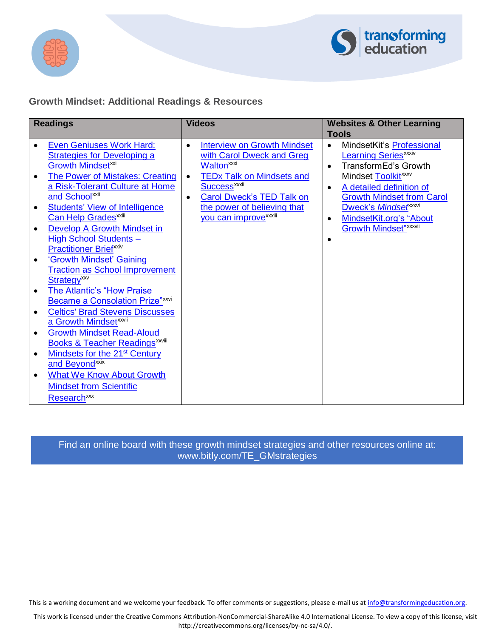



# **Growth Mindset: Additional Readings & Resources**

| <b>Readings</b>                                                                                                                                                                                                                                                                                                                                                                                                                                                                                                                                                                                                                                                                                                                                                                                                                                                                                                                                                                                          | <b>Videos</b>                                                                                                                                                                                                                                                                                                 | <b>Websites &amp; Other Learning</b>                                                                                                                                                                                                                                                                                                                    |
|----------------------------------------------------------------------------------------------------------------------------------------------------------------------------------------------------------------------------------------------------------------------------------------------------------------------------------------------------------------------------------------------------------------------------------------------------------------------------------------------------------------------------------------------------------------------------------------------------------------------------------------------------------------------------------------------------------------------------------------------------------------------------------------------------------------------------------------------------------------------------------------------------------------------------------------------------------------------------------------------------------|---------------------------------------------------------------------------------------------------------------------------------------------------------------------------------------------------------------------------------------------------------------------------------------------------------------|---------------------------------------------------------------------------------------------------------------------------------------------------------------------------------------------------------------------------------------------------------------------------------------------------------------------------------------------------------|
| <b>Even Geniuses Work Hard:</b><br>$\bullet$<br><b>Strategies for Developing a</b><br><b>Growth Mindsetxxi</b><br><b>The Power of Mistakes: Creating</b><br>$\bullet$<br>a Risk-Tolerant Culture at Home<br>and School <sup>xxii</sup><br><b>Students' View of Intelligence</b><br>$\bullet$<br>Can Help Grades <sup>xxiii</sup><br>Develop A Growth Mindset in<br>$\bullet$<br><b>High School Students-</b><br><b>Practitioner Briefxxiv</b><br>'Growth Mindset' Gaining<br>$\bullet$<br><b>Traction as School Improvement</b><br>Strategy <sup>xxv</sup><br><b>The Atlantic's "How Praise</b><br>$\bullet$<br>Became a Consolation Prize"xxvi<br><b>Celtics' Brad Stevens Discusses</b><br>a Growth Mindset <sup>xxvii</sup><br><b>Growth Mindset Read-Aloud</b><br>$\bullet$<br><b>Books &amp; Teacher Readings XXVIII</b><br>Mindsets for the 21 <sup>st</sup> Century<br>$\bullet$<br>and Beyond <sup>xxix</sup><br><b>What We Know About Growth</b><br>$\bullet$<br><b>Mindset from Scientific</b> | <b>Interview on Growth Mindset</b><br>$\bullet$<br>with Carol Dweck and Greg<br><b>Walton</b> <sup>xxi</sup><br><b>TEDx Talk on Mindsets and</b><br>$\bullet$<br><b>Success<sup>xxxii</sup></b><br>Carol Dweck's TED Talk on<br>$\bullet$<br>the power of believing that<br>you can improve <sup>xxxiii</sup> | Tools<br>MindsetKit's Professional<br>$\bullet$<br><b>Learning Series</b> <sup>xxxiv</sup><br>TransformEd's Growth<br>$\bullet$<br>Mindset Toolkit <sup>xxxv</sup><br>A detailed definition of<br>$\bullet$<br><b>Growth Mindset from Carol</b><br><b>Dweck's Mindsetxxxvi</b><br>MindsetKit.org's "About<br>$\bullet$<br><b>Growth Mindset"</b> xxxvii |
| Research <sup>xxx</sup>                                                                                                                                                                                                                                                                                                                                                                                                                                                                                                                                                                                                                                                                                                                                                                                                                                                                                                                                                                                  |                                                                                                                                                                                                                                                                                                               |                                                                                                                                                                                                                                                                                                                                                         |

## Find an online board with these growth mindset [strategies and other resources online at:](http://www.bitly.com/TE_GMstrategies)  www.bitly.com/TE\_GMstrategies

This is a working document and we welcome your feedback. To offer comments or suggestions, please e-mail us at [info@transformingeducation.org.](mailto:info@transformingeducation.org)

This work is licensed under the Creative Commons Attribution-NonCommercial-ShareAlike 4.0 International License. To view a copy of this license, visit http://creativecommons.org/licenses/by-nc-sa/4.0/.